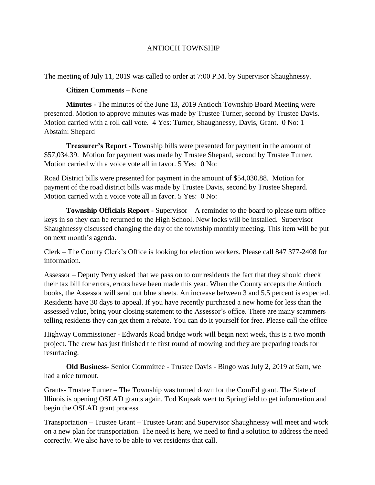## ANTIOCH TOWNSHIP

The meeting of July 11, 2019 was called to order at 7:00 P.M. by Supervisor Shaughnessy.

## **Citizen Comments –** None

**Minutes -** The minutes of the June 13, 2019 Antioch Township Board Meeting were presented. Motion to approve minutes was made by Trustee Turner, second by Trustee Davis. Motion carried with a roll call vote. 4 Yes: Turner, Shaughnessy, Davis, Grant. 0 No: 1 Abstain: Shepard

**Treasurer's Report -** Township bills were presented for payment in the amount of \$57,034.39. Motion for payment was made by Trustee Shepard, second by Trustee Turner. Motion carried with a voice vote all in favor. 5 Yes: 0 No:

Road District bills were presented for payment in the amount of \$54,030.88. Motion for payment of the road district bills was made by Trustee Davis, second by Trustee Shepard. Motion carried with a voice vote all in favor. 5 Yes: 0 No:

**Township Officials Report -** Supervisor – A reminder to the board to please turn office keys in so they can be returned to the High School. New locks will be installed. Supervisor Shaughnessy discussed changing the day of the township monthly meeting. This item will be put on next month's agenda.

Clerk – The County Clerk's Office is looking for election workers. Please call 847 377-2408 for information.

Assessor – Deputy Perry asked that we pass on to our residents the fact that they should check their tax bill for errors, errors have been made this year. When the County accepts the Antioch books, the Assessor will send out blue sheets. An increase between 3 and 5.5 percent is expected. Residents have 30 days to appeal. If you have recently purchased a new home for less than the assessed value, bring your closing statement to the Assessor's office. There are many scammers telling residents they can get them a rebate. You can do it yourself for free. Please call the office

Highway Commissioner - Edwards Road bridge work will begin next week, this is a two month project. The crew has just finished the first round of mowing and they are preparing roads for resurfacing.

**Old Business-** Senior Committee - Trustee Davis - Bingo was July 2, 2019 at 9am, we had a nice turnout.

Grants- Trustee Turner – The Township was turned down for the ComEd grant. The State of Illinois is opening OSLAD grants again, Tod Kupsak went to Springfield to get information and begin the OSLAD grant process.

Transportation – Trustee Grant – Trustee Grant and Supervisor Shaughnessy will meet and work on a new plan for transportation. The need is here, we need to find a solution to address the need correctly. We also have to be able to vet residents that call.